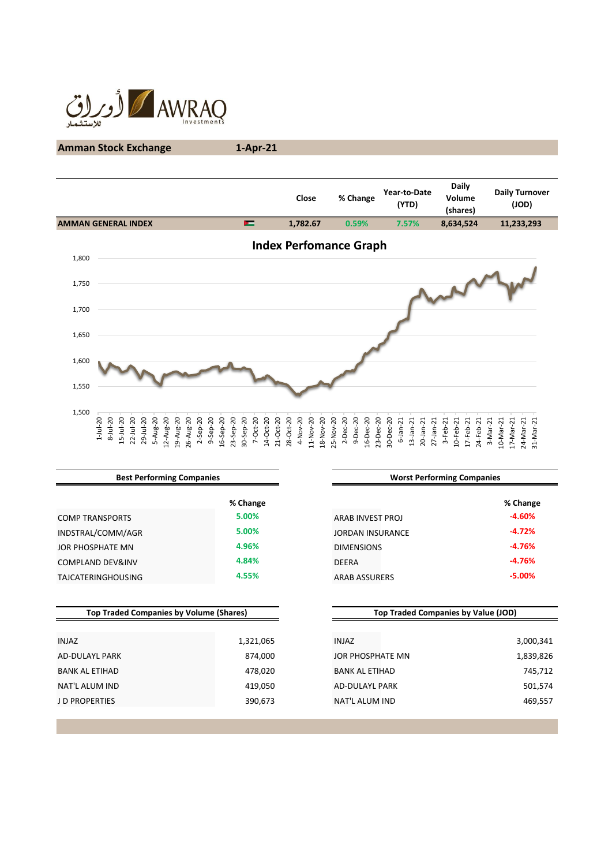

# **Amman Stock Exchange 1-Apr-21**

|       |                                                     |                              |          |                        |           |                            |           |           |           |                         |                 |           | Close    |           |                               |              | % Change |           |                        | Year-to-Date   | (YTD)        |                              |            | <b>Daily</b><br>Volume<br>(shares) |                 |           |                       | <b>Daily Turnover</b> | $($ JOD)  |           |  |
|-------|-----------------------------------------------------|------------------------------|----------|------------------------|-----------|----------------------------|-----------|-----------|-----------|-------------------------|-----------------|-----------|----------|-----------|-------------------------------|--------------|----------|-----------|------------------------|----------------|--------------|------------------------------|------------|------------------------------------|-----------------|-----------|-----------------------|-----------------------|-----------|-----------|--|
|       | <b>AMMAN GENERAL INDEX</b>                          |                              |          |                        |           |                            |           |           | 드         |                         |                 |           | 1,782.67 |           |                               |              | 0.59%    |           |                        |                | 7.57%        |                              |            | 8,634,524                          |                 |           |                       | 11,233,293            |           |           |  |
| 1,800 |                                                     |                              |          |                        |           |                            |           |           |           |                         |                 |           |          |           | <b>Index Perfomance Graph</b> |              |          |           |                        |                |              |                              |            |                                    |                 |           |                       |                       |           |           |  |
| 1,750 |                                                     |                              |          |                        |           |                            |           |           |           |                         |                 |           |          |           |                               |              |          |           |                        |                |              |                              |            |                                    |                 |           |                       |                       |           |           |  |
| 1,700 |                                                     |                              |          |                        |           |                            |           |           |           |                         |                 |           |          |           |                               |              |          |           |                        |                |              |                              |            |                                    |                 |           |                       |                       |           |           |  |
| 1,650 |                                                     |                              |          |                        |           |                            |           |           |           |                         |                 |           |          |           |                               |              |          |           |                        |                |              |                              |            |                                    |                 |           |                       |                       |           |           |  |
| 1,600 |                                                     |                              |          |                        |           |                            |           |           |           |                         |                 |           |          |           |                               |              |          |           |                        |                |              |                              |            |                                    |                 |           |                       |                       |           |           |  |
| 1,550 |                                                     |                              |          |                        |           |                            |           |           |           |                         |                 |           |          |           |                               |              |          |           |                        |                |              |                              |            |                                    |                 |           |                       |                       |           |           |  |
| 1,500 | $1 - Jul - 20$<br>$8 - Jul - 20$<br>$15 - Jul - 20$ | $22 - Jul - 20$<br>29-Jul-20 | 5-Aug-20 | 12-Aug-20<br>19-Aug-20 | 26-Aug-20 | $2-$ Sep-20<br>$9-$ Sep-20 | 16-Sep-20 | 23-Sep-20 | 30-Sep-20 | $7-0ct-20$<br>14-Oct-20 | $21 - Oct - 20$ | 28-Oct-20 | 4-Nov-20 | 11-Nov-20 | 25-Nov-20<br>18-Nov-20        | $2 - Dec-20$ | 9-Dec-20 | 16-Dec-20 | 23-Dec-20<br>30-Dec-20 | $6 - Jan - 21$ | $13$ -Jan-21 | $20$ -Jan-21<br>$27$ -Jan-21 | $3-Feb-21$ | 10-Feb-21                          | $17 - Feb - 21$ | 24-Feb-21 | 3-Mar-21<br>10-Mar-21 | 17-Mar-21             | 24-Mar-21 | 31-Mar-21 |  |

| <b>Best Performing Companies</b>               |           | <b>Worst Performing Companies</b>          |           |  |  |  |  |  |
|------------------------------------------------|-----------|--------------------------------------------|-----------|--|--|--|--|--|
|                                                | % Change  |                                            | % Change  |  |  |  |  |  |
| <b>COMP TRANSPORTS</b>                         | 5.00%     | ARAB INVEST PROJ                           | $-4.60%$  |  |  |  |  |  |
| INDSTRAL/COMM/AGR                              | 5.00%     | <b>JORDAN INSURANCE</b>                    | $-4.72%$  |  |  |  |  |  |
| JOR PHOSPHATE MN                               | 4.96%     | <b>DIMENSIONS</b>                          | $-4.76%$  |  |  |  |  |  |
| <b>COMPLAND DEV&amp;INV</b>                    | 4.84%     | DEERA                                      | $-4.76%$  |  |  |  |  |  |
| <b>TAJCATERINGHOUSING</b>                      | 4.55%     | <b>ARAB ASSURERS</b>                       | $-5.00%$  |  |  |  |  |  |
| <b>Top Traded Companies by Volume (Shares)</b> |           | <b>Top Traded Companies by Value (JOD)</b> |           |  |  |  |  |  |
|                                                |           |                                            |           |  |  |  |  |  |
| <b>INJAZ</b>                                   | 1,321,065 | <b>INJAZ</b>                               | 3,000,341 |  |  |  |  |  |
| <b>AD-DULAYL PARK</b>                          | 874,000   | JOR PHOSPHATE MN                           | 1,839,826 |  |  |  |  |  |
| <b>BANK AL ETIHAD</b>                          | 478,020   | <b>BANK AL ETIHAD</b>                      | 745,712   |  |  |  |  |  |
| NAT'L ALUM IND                                 | 419,050   | <b>AD-DULAYL PARK</b>                      | 501,574   |  |  |  |  |  |
| <b>JD PROPERTIES</b>                           | 390,673   | NAT'L ALUM IND                             | 469,557   |  |  |  |  |  |
|                                                |           |                                            |           |  |  |  |  |  |